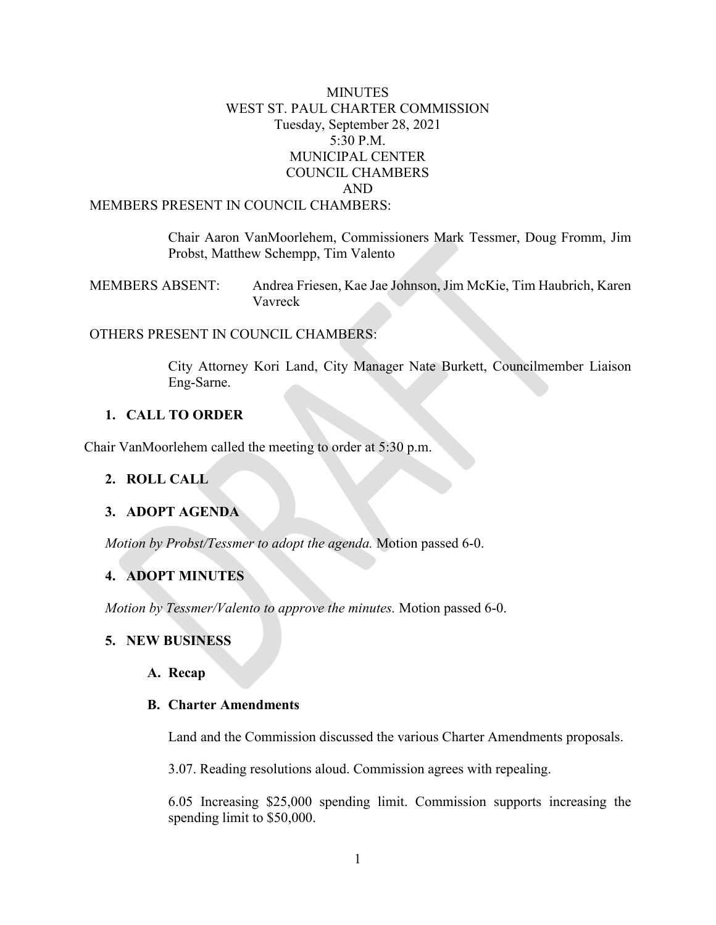### **MINUTES** WEST ST. PAUL CHARTER COMMISSION Tuesday, September 28, 2021 5:30 P.M. MUNICIPAL CENTER COUNCIL CHAMBERS AND MEMBERS PRESENT IN COUNCIL CHAMBERS:

Chair Aaron VanMoorlehem, Commissioners Mark Tessmer, Doug Fromm, Jim Probst, Matthew Schempp, Tim Valento

MEMBERS ABSENT: Andrea Friesen, Kae Jae Johnson, Jim McKie, Tim Haubrich, Karen Vavreck

### OTHERS PRESENT IN COUNCIL CHAMBERS:

City Attorney Kori Land, City Manager Nate Burkett, Councilmember Liaison Eng-Sarne.

### **1. CALL TO ORDER**

Chair VanMoorlehem called the meeting to order at 5:30 p.m.

#### **2. ROLL CALL**

#### **3. ADOPT AGENDA**

*Motion by Probst/Tessmer to adopt the agenda.* Motion passed 6-0.

### **4. ADOPT MINUTES**

*Motion by Tessmer/Valento to approve the minutes.* Motion passed 6-0.

### **5. NEW BUSINESS**

#### **A. Recap**

#### **B. Charter Amendments**

Land and the Commission discussed the various Charter Amendments proposals.

3.07. Reading resolutions aloud. Commission agrees with repealing.

6.05 Increasing \$25,000 spending limit. Commission supports increasing the spending limit to \$50,000.